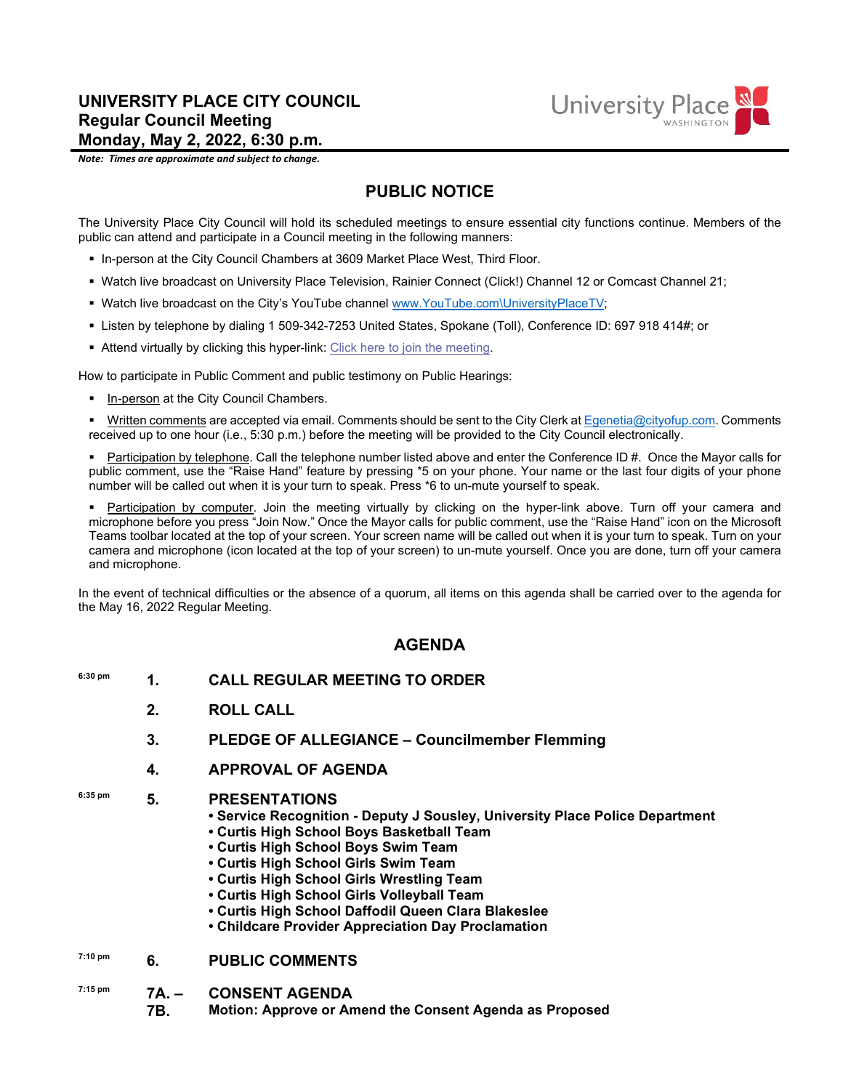#### **UNIVERSITY PLACE CITY COUNCIL Regular Council Meeting Monday, May 2, 2022, 6:30 p.m.**

*Note: Times are approximate and subject to change.*

# University Place

## **PUBLIC NOTICE**

The University Place City Council will hold its scheduled meetings to ensure essential city functions continue. Members of the public can attend and participate in a Council meeting in the following manners:

- In-person at the City Council Chambers at 3609 Market Place West, Third Floor.
- Watch live broadcast on University Place Television, Rainier Connect (Click!) Channel 12 or Comcast Channel 21;
- Watch live broadcast on the City's YouTube channel [www.YouTube.com\UniversityPlaceTV;](http://www.youtube.com/UniversityPlaceTV)
- Listen by telephone by dialing 1 509-342-7253 United States, Spokane (Toll), Conference ID: 697 918 414#; or
- Attend virtually by clicking this hyper-link: Click here to [join the meeting.](https://nam12.safelinks.protection.outlook.com/ap/t-59584e83/?url=https%3A%2F%2Fteams.microsoft.com%2Fl%2Fmeetup-join%2F19%253ameeting_YTM3M2YyNGYtYTM0My00MmUwLWJmOWQtYWQ5MWFlOWI2NjEx%2540thread.v2%2F0%3Fcontext%3D%257b%2522Tid%2522%253a%2522964f2256-ad7d-4cd9-9f27-e9cb8052aa15%2522%252c%2522Oid%2522%253a%2522a2b47f62-eabb-4cff-ae9a-534c18c22be0%2522%257d&data=05%7C01%7CEGenetia%40cityofup.com%7Cc6f0116a15f3489cded508da2862ae59%7C964f2256ad7d4cd99f27e9cb8052aa15%7C0%7C0%7C637866701540591902%7CUnknown%7CTWFpbGZsb3d8eyJWIjoiMC4wLjAwMDAiLCJQIjoiV2luMzIiLCJBTiI6Ik1haWwiLCJXVCI6Mn0%3D%7C3000%7C%7C%7C&sdata=6Ss4Z1DfOY9gaFqOR%2F5UcDLwQF%2FPtuOfBYxHDCK0zgI%3D&reserved=0)

How to participate in Public Comment and public testimony on Public Hearings:

**In-person at the City Council Chambers.** 

Written comments are accepted via email. Comments should be sent to the City Clerk a[t Egenetia@cityofup.com.](mailto:Egenetia@cityofup.com) Comments received up to one hour (i.e., 5:30 p.m.) before the meeting will be provided to the City Council electronically.

Participation by telephone. Call the telephone number listed above and enter the Conference ID #. Once the Mayor calls for public comment, use the "Raise Hand" feature by pressing \*5 on your phone. Your name or the last four digits of your phone number will be called out when it is your turn to speak. Press \*6 to un-mute yourself to speak.

Participation by computer. Join the meeting virtually by clicking on the hyper-link above. Turn off your camera and microphone before you press "Join Now." Once the Mayor calls for public comment, use the "Raise Hand" icon on the Microsoft Teams toolbar located at the top of your screen. Your screen name will be called out when it is your turn to speak. Turn on your camera and microphone (icon located at the top of your screen) to un-mute yourself. Once you are done, turn off your camera and microphone.

In the event of technical difficulties or the absence of a quorum, all items on this agenda shall be carried over to the agenda for the May 16, 2022 Regular Meeting.

### **AGENDA**

- **6:30 pm 1. CALL REGULAR MEETING TO ORDER**
	- **2. ROLL CALL**
	- **3. PLEDGE OF ALLEGIANCE – Councilmember Flemming**
	- **4. APPROVAL OF AGENDA**
- **6:35 pm 5. PRESENTATIONS**
	- **Service Recognition - Deputy J Sousley, University Place Police Department**
	- **Curtis High School Boys Basketball Team**
	- **Curtis High School Boys Swim Team**
	- **• Curtis High School Girls Swim Team**
	- **Curtis High School Girls Wrestling Team**
	- **Curtis High School Girls Volleyball Team**
	- **Curtis High School Daffodil Queen Clara Blakeslee**
	- **Childcare Provider Appreciation Day Proclamation**

#### **7:10 pm 6. PUBLIC COMMENTS**

- $7:15 \text{ pm}$  **7A. CONSENT AGENDA**
	- **7B. Motion: Approve or Amend the Consent Agenda as Proposed**